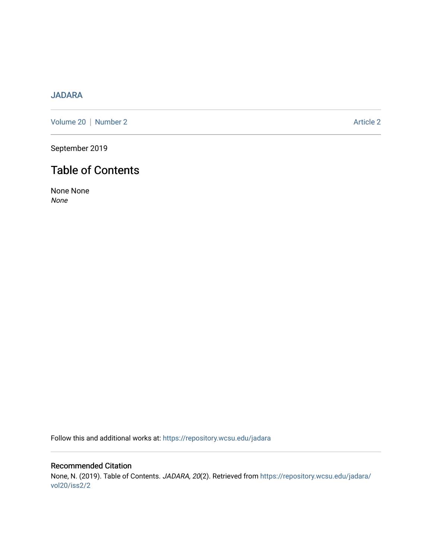# [JADARA](https://repository.wcsu.edu/jadara)

[Volume 20](https://repository.wcsu.edu/jadara/vol20) | [Number 2](https://repository.wcsu.edu/jadara/vol20/iss2) Article 2

September 2019

# Table of Contents

None None None

Follow this and additional works at: [https://repository.wcsu.edu/jadara](https://repository.wcsu.edu/jadara?utm_source=repository.wcsu.edu%2Fjadara%2Fvol20%2Fiss2%2F2&utm_medium=PDF&utm_campaign=PDFCoverPages)

Recommended Citation None, N. (2019). Table of Contents. JADARA, 20(2). Retrieved from [https://repository.wcsu.edu/jadara/](https://repository.wcsu.edu/jadara/vol20/iss2/2?utm_source=repository.wcsu.edu%2Fjadara%2Fvol20%2Fiss2%2F2&utm_medium=PDF&utm_campaign=PDFCoverPages) [vol20/iss2/2](https://repository.wcsu.edu/jadara/vol20/iss2/2?utm_source=repository.wcsu.edu%2Fjadara%2Fvol20%2Fiss2%2F2&utm_medium=PDF&utm_campaign=PDFCoverPages)